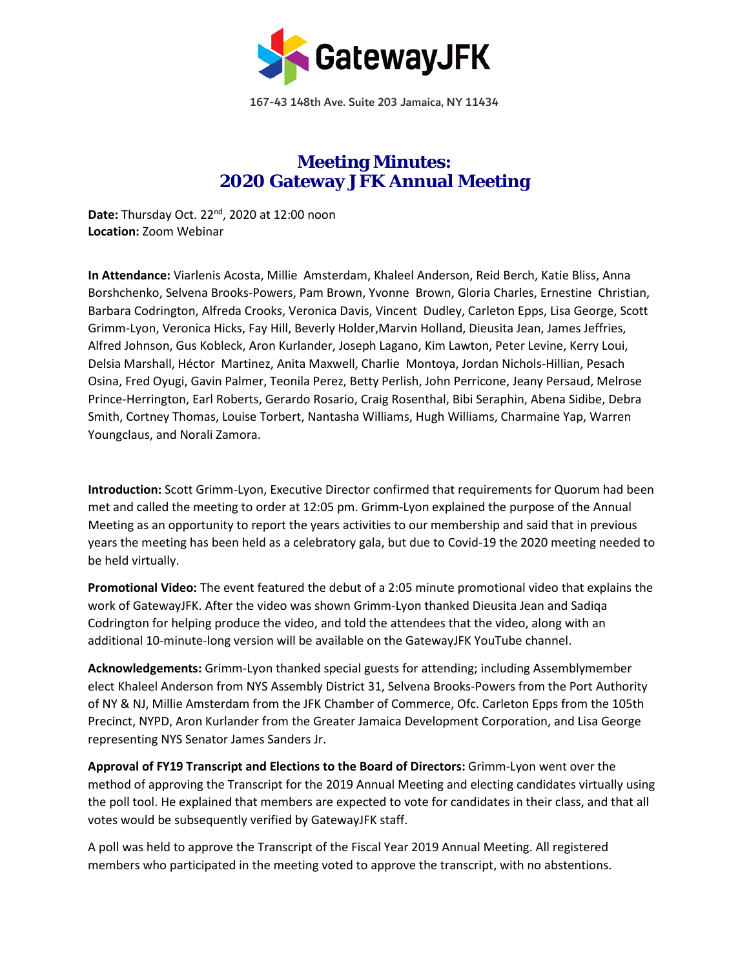

167-43 148th Ave. Suite 203 Jamaica, NY 11434

## **Meeting Minutes: 2020 Gateway JFK Annual Meeting**

**Date:** Thursday Oct. 22<sup>nd</sup>, 2020 at 12:00 noon **Location:** Zoom Webinar

**In Attendance:** Viarlenis Acosta, Millie Amsterdam, Khaleel Anderson, Reid Berch, Katie Bliss, Anna Borshchenko, Selvena Brooks-Powers, Pam Brown, Yvonne Brown, Gloria Charles, Ernestine Christian, Barbara Codrington, Alfreda Crooks, Veronica Davis, Vincent Dudley, Carleton Epps, Lisa George, Scott Grimm-Lyon, Veronica Hicks, Fay Hill, Beverly Holder,Marvin Holland, Dieusita Jean, James Jeffries, Alfred Johnson, Gus Kobleck, Aron Kurlander, Joseph Lagano, Kim Lawton, Peter Levine, Kerry Loui, Delsia Marshall, Héctor Martinez, Anita Maxwell, Charlie Montoya, Jordan Nichols-Hillian, Pesach Osina, Fred Oyugi, Gavin Palmer, Teonila Perez, Betty Perlish, John Perricone, Jeany Persaud, Melrose Prince-Herrington, Earl Roberts, Gerardo Rosario, Craig Rosenthal, Bibi Seraphin, Abena Sidibe, Debra Smith, Cortney Thomas, Louise Torbert, Nantasha Williams, Hugh Williams, Charmaine Yap, Warren Youngclaus, and Norali Zamora.

**Introduction:** Scott Grimm-Lyon, Executive Director confirmed that requirements for Quorum had been met and called the meeting to order at 12:05 pm. Grimm-Lyon explained the purpose of the Annual Meeting as an opportunity to report the years activities to our membership and said that in previous years the meeting has been held as a celebratory gala, but due to Covid-19 the 2020 meeting needed to be held virtually.

**Promotional Video:** The event featured the debut of a 2:05 minute promotional video that explains the work of GatewayJFK. After the video was shown Grimm-Lyon thanked Dieusita Jean and Sadiqa Codrington for helping produce the video, and told the attendees that the video, along with an additional 10-minute-long version will be available on the GatewayJFK YouTube channel.

**Acknowledgements:** Grimm-Lyon thanked special guests for attending; including Assemblymember elect Khaleel Anderson from NYS Assembly District 31, Selvena Brooks-Powers from the Port Authority of NY & NJ, Millie Amsterdam from the JFK Chamber of Commerce, Ofc. Carleton Epps from the 105th Precinct, NYPD, Aron Kurlander from the Greater Jamaica Development Corporation, and Lisa George representing NYS Senator James Sanders Jr.

**Approval of FY19 Transcript and Elections to the Board of Directors:** Grimm-Lyon went over the method of approving the Transcript for the 2019 Annual Meeting and electing candidates virtually using the poll tool. He explained that members are expected to vote for candidates in their class, and that all votes would be subsequently verified by GatewayJFK staff.

A poll was held to approve the Transcript of the Fiscal Year 2019 Annual Meeting. All registered members who participated in the meeting voted to approve the transcript, with no abstentions.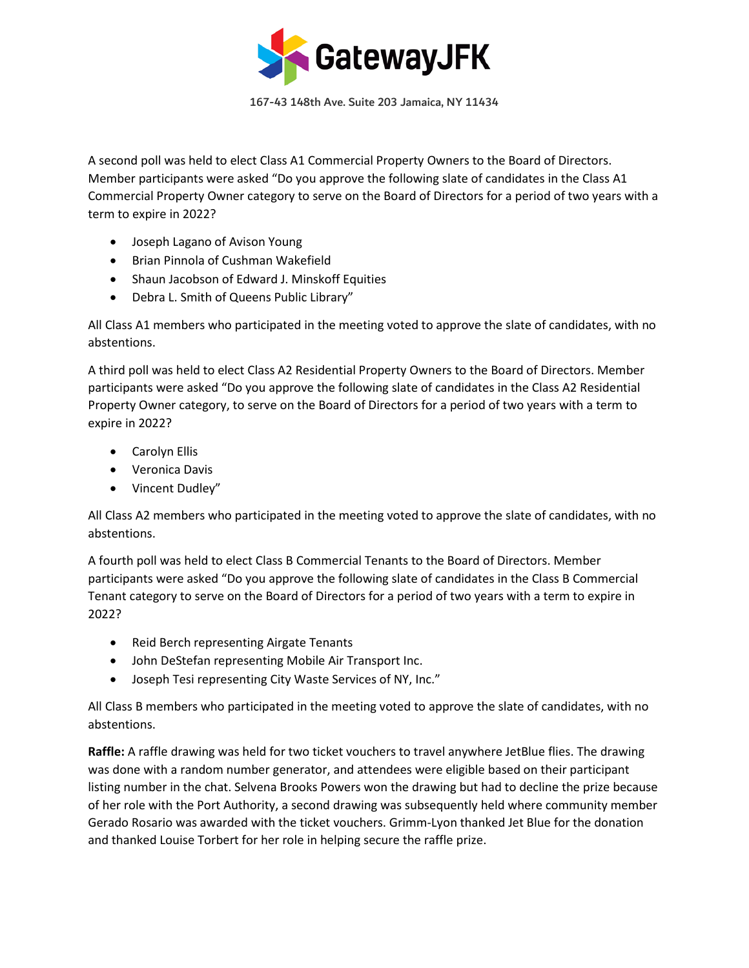

167-43 148th Ave. Suite 203 Jamaica, NY 11434

A second poll was held to elect Class A1 Commercial Property Owners to the Board of Directors. Member participants were asked "Do you approve the following slate of candidates in the Class A1 Commercial Property Owner category to serve on the Board of Directors for a period of two years with a term to expire in 2022?

- Joseph Lagano of Avison Young
- Brian Pinnola of Cushman Wakefield
- Shaun Jacobson of Edward J. Minskoff Equities
- Debra L. Smith of Queens Public Library"

All Class A1 members who participated in the meeting voted to approve the slate of candidates, with no abstentions.

A third poll was held to elect Class A2 Residential Property Owners to the Board of Directors. Member participants were asked "Do you approve the following slate of candidates in the Class A2 Residential Property Owner category, to serve on the Board of Directors for a period of two years with a term to expire in 2022?

- Carolyn Ellis
- Veronica Davis
- Vincent Dudley"

All Class A2 members who participated in the meeting voted to approve the slate of candidates, with no abstentions.

A fourth poll was held to elect Class B Commercial Tenants to the Board of Directors. Member participants were asked "Do you approve the following slate of candidates in the Class B Commercial Tenant category to serve on the Board of Directors for a period of two years with a term to expire in 2022?

- Reid Berch representing Airgate Tenants
- John DeStefan representing Mobile Air Transport Inc.
- Joseph Tesi representing City Waste Services of NY, Inc."

All Class B members who participated in the meeting voted to approve the slate of candidates, with no abstentions.

**Raffle:** A raffle drawing was held for two ticket vouchers to travel anywhere JetBlue flies. The drawing was done with a random number generator, and attendees were eligible based on their participant listing number in the chat. Selvena Brooks Powers won the drawing but had to decline the prize because of her role with the Port Authority, a second drawing was subsequently held where community member Gerado Rosario was awarded with the ticket vouchers. Grimm-Lyon thanked Jet Blue for the donation and thanked Louise Torbert for her role in helping secure the raffle prize.